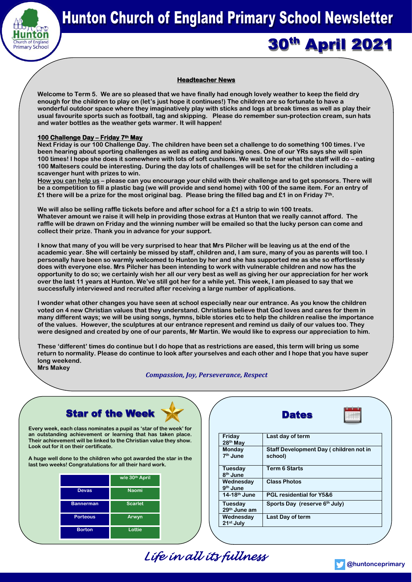

30<sup>th</sup> April 2021

## **Headteacher News**

**Welcome to Term 5. We are so pleased that we have finally had enough lovely weather to keep the field dry enough for the children to play on (let's just hope it continues!) The children are so fortunate to have a wonderful outdoor space where they imaginatively play with sticks and logs at break times as well as play their usual favourite sports such as football, tag and skipping. Please do remember sun-protection cream, sun hats and water bottles as the weather gets warmer. It will happen!**

#### **100 Challenge Day – Friday 7th May**

**Next Friday is our 100 Challenge Day. The children have been set a challenge to do something 100 times. I've been hearing about sporting challenges as well as eating and baking ones. One of our YRs says she will spin 100 times! I hope she does it somewhere with lots of soft cushions. We wait to hear what the staff will do – eating 100 Maltesers could be interesting. During the day lots of challenges will be set for the children including a scavenger hunt with prizes to win.**

**How you can help us – please can you encourage your child with their challenge and to get sponsors. There will be a competition to fill a plastic bag (we will provide and send home) with 100 of the same item. For an entry of £1 there will be a prize for the most original bag. Please bring the filled bag and £1 in on Friday 7th.**

**We will also be selling raffle tickets before and after school for a £1 a strip to win 100 treats. Whatever amount we raise it will help in providing those extras at Hunton that we really cannot afford. The raffle will be drawn on Friday and the winning number will be emailed so that the lucky person can come and collect their prize. Thank you in advance for your support.**

**I know that many of you will be very surprised to hear that Mrs Pilcher will be leaving us at the end of the academic year. She will certainly be missed by staff, children and, I am sure, many of you as parents will too. I personally have been so warmly welcomed to Hunton by her and she has supported me as she so effortlessly does with everyone else. Mrs Pilcher has been intending to work with vulnerable children and now has the opportunity to do so; we certainly wish her all our very best as well as giving her our appreciation for her work over the last 11 years at Hunton. We've still got her for a while yet. This week, I am pleased to say that we successfully interviewed and recruited after receiving a large number of applications.** 

**I wonder what other changes you have seen at school especially near our entrance. As you know the children voted on 4 new Christian values that they understand. Christians believe that God loves and cares for them in many different ways; we will be using songs, hymns, bible stories etc to help the children realise the importance of the values. However, the sculptures at our entrance represent and remind us daily of our values too. They were designed and created by one of our parents, Mr Martin. We would like to express our appreciation to him.**

**These 'different' times do continue but I do hope that as restrictions are eased, this term will bring us some return to normality. Please do continue to look after yourselves and each other and I hope that you have super long weekend. Mrs Makey**

#### *Compassion, Joy, Perseverance, Respect*

# **Star of the Week**

**Every week, each class nominates a pupil as 'star of the week' for an outstanding achievement or learning that has taken place. Their achievement will be linked to the Christian value they show. Look out for it on their certificate.**

**A huge well done to the children who got awarded the star in the last two weeks! Congratulations for all their hard work.**

|                  | w/e 30 <sup>th</sup> April |
|------------------|----------------------------|
| <b>Devas</b>     | <b>Naomi</b>               |
| <b>Bannerman</b> | <b>Scarlet</b>             |
| <b>Porteous</b>  | Arwyn                      |
| <b>Borton</b>    | Lottie                     |

| star of the week' for<br>at has taken place.<br>an value they show. | Friday<br>28th May              | Last day of term                                  |
|---------------------------------------------------------------------|---------------------------------|---------------------------------------------------|
| <b>inded the star in the</b><br>ard work.                           | Monday<br>7 <sup>th</sup> June  | Staff Development Day (children not in<br>school) |
| pril                                                                | Tuesday<br>8 <sup>th</sup> June | <b>Term 6 Starts</b>                              |
|                                                                     | Wednesday<br>$9th$ June         | <b>Class Photos</b>                               |
|                                                                     | $14-18$ <sup>th</sup> June      | <b>PGL residential for Y5&amp;6</b>               |
|                                                                     | Tuesdav<br>29th June am         | Sports Day (reserve 6 <sup>th</sup> July)         |
|                                                                     | Wednesday<br>$21st$ July        | Last Day of term                                  |
|                                                                     |                                 |                                                   |

**Dates** 

*Life in all its fullness*